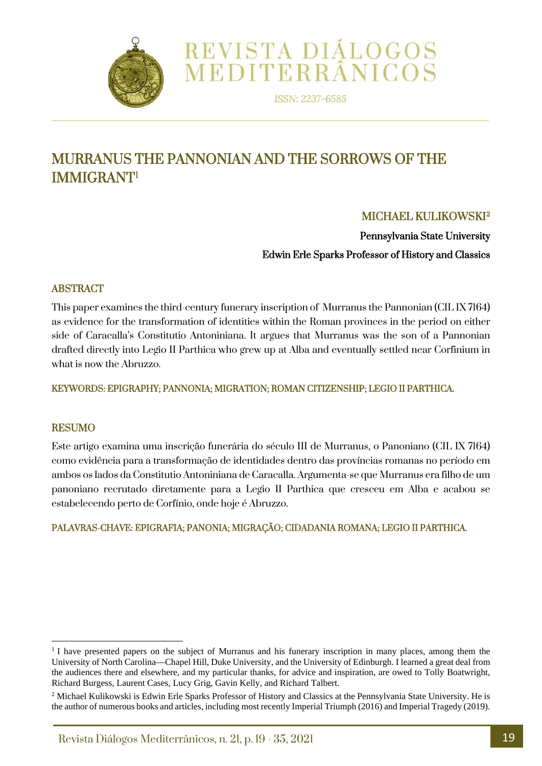

ISSN: 2237-6585

REVISTA DIÁLOGOS<br>MEDITERRÂNICOS

# MURRANUS THE PANNONIAN AND THE SORROWS OF THE IMMIGRANT[1](#page-0-0)

# MICHAEL KULIKOWSKI[2](#page-0-1)

Pennsylvania State University

Edwin Erle Sparks Professor of History and Classics

## ABSTRACT

This paper examines the third-century funerary inscription of Murranus the Pannonian (CIL IX 7164) as evidence for the transformation of identities within the Roman provinces in the period on either side of Caracalla's Constitutio Antoniniana. It argues that Murranus was the son of a Pannonian drafted directly into Legio II Parthica who grew up at Alba and eventually settled near Corfinium in what is now the Abruzzo.

KEYWORDS: EPIGRAPHY; PANNONIA; MIGRATION; ROMAN CITIZENSHIP; LEGIO II PARTHICA.

### RESUMO

Este artigo examina uma inscrição funerária do século III de Murranus, o Panoniano (CIL IX 7164) como evidência para a transformação de identidades dentro das províncias romanas no período em ambos os lados da Constitutio Antoniniana de Caracalla. Argumenta-se que Murranus era filho de um panoniano recrutado diretamente para a Legio II Parthica que cresceu em Alba e acabou se estabelecendo perto de Corfínio, onde hoje é Abruzzo.

### PALAVRAS-CHAVE: EPIGRAFIA; PANONIA; MIGRAÇÃO; CIDADANIA ROMANA; LEGIO II PARTHICA.

<span id="page-0-0"></span><sup>&</sup>lt;sup>1</sup> I have presented papers on the subject of Murranus and his funerary inscription in many places, among them the University of North Carolina—Chapel Hill, Duke University, and the University of Edinburgh. I learned a great deal from the audiences there and elsewhere, and my particular thanks, for advice and inspiration, are owed to Tolly Boatwright, Richard Burgess, Laurent Cases, Lucy Grig, Gavin Kelly, and Richard Talbert.

<span id="page-0-1"></span><sup>&</sup>lt;sup>2</sup> Michael Kulikowski is Edwin Erle Sparks Professor of History and Classics at the Pennsylvania State University. He is the author of numerous books and articles, including most recently Imperial Triumph (2016) and Imperial Tragedy (2019).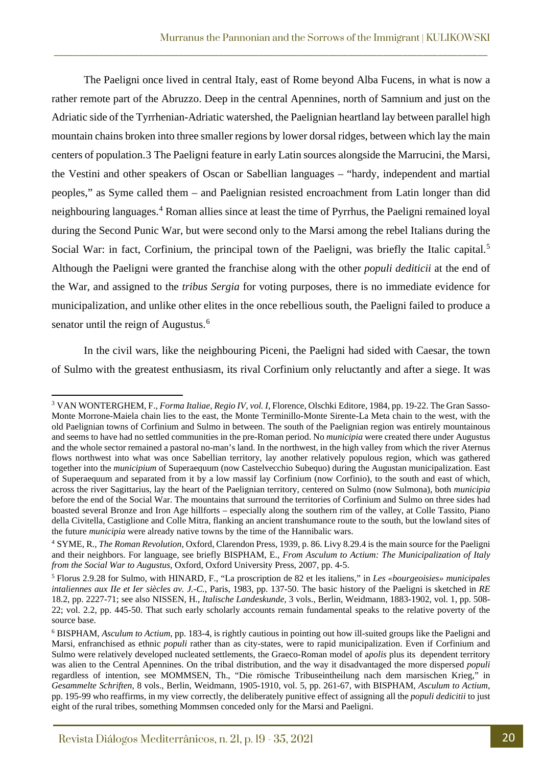The Paeligni once lived in central Italy, east of Rome beyond Alba Fucens, in what is now a rather remote part of the Abruzzo. Deep in the central Apennines, north of Samnium and just on the Adriatic side of the Tyrrhenian-Adriatic watershed, the Paelignian heartland lay between parallel high mountain chains broken into three smaller regions by lower dorsal ridges, between which lay the main centers of population.[3](#page-1-0) The Paeligni feature in early Latin sources alongside the Marrucini, the Marsi, the Vestini and other speakers of Oscan or Sabellian languages – "hardy, independent and martial peoples," as Syme called them – and Paelignian resisted encroachment from Latin longer than did neighbouring languages.[4](#page-1-1) Roman allies since at least the time of Pyrrhus, the Paeligni remained loyal during the Second Punic War, but were second only to the Marsi among the rebel Italians during the Social War: in fact, Corfinium, the principal town of the Paeligni, was briefly the Italic capital.<sup>[5](#page-1-2)</sup> Although the Paeligni were granted the franchise along with the other *populi dediticii* at the end of the War, and assigned to the *tribus Sergia* for voting purposes, there is no immediate evidence for municipalization, and unlike other elites in the once rebellious south, the Paeligni failed to produce a senator until the reign of Augustus.<sup>[6](#page-1-3)</sup>

\_\_\_\_\_\_\_\_\_\_\_\_\_\_\_\_\_\_\_\_\_\_\_\_\_\_\_\_\_\_\_\_\_\_\_\_\_\_\_\_\_\_\_\_\_\_\_\_\_\_\_\_\_\_\_\_\_\_\_\_\_\_\_\_\_\_\_\_\_\_\_\_\_\_\_\_\_\_\_\_\_\_\_\_\_\_\_

In the civil wars, like the neighbouring Piceni, the Paeligni had sided with Caesar, the town of Sulmo with the greatest enthusiasm, its rival Corfinium only reluctantly and after a siege. It was

<span id="page-1-0"></span><sup>3</sup> VAN WONTERGHEM, F., *Forma Italiae, Regio IV, vol. I*, Florence, Olschki Editore, 1984, pp. 19-22. The Gran Sasso-Monte Morrone-Maiela chain lies to the east, the Monte Terminillo-Monte Sirente-La Meta chain to the west, with the old Paelignian towns of Corfinium and Sulmo in between. The south of the Paelignian region was entirely mountainous and seems to have had no settled communities in the pre-Roman period. No *municipia* were created there under Augustus and the whole sector remained a pastoral no-man's land. In the northwest, in the high valley from which the river Aternus flows northwest into what was once Sabellian territory, lay another relatively populous region, which was gathered together into the *municipium* of Superaequum (now Castelvecchio Subequo) during the Augustan municipalization. East of Superaequum and separated from it by a low massif lay Corfinium (now Corfinio), to the south and east of which, across the river Sagittarius, lay the heart of the Paelignian territory, centered on Sulmo (now Sulmona), both *municipia* before the end of the Social War. The mountains that surround the territories of Corfinium and Sulmo on three sides had boasted several Bronze and Iron Age hillforts – especially along the southern rim of the valley, at Colle Tassito, Piano della Civitella, Castiglione and Colle Mitra, flanking an ancient transhumance route to the south, but the lowland sites of the future *municipia* were already native towns by the time of the Hannibalic wars.

<span id="page-1-1"></span><sup>4</sup> SYME, R., *The Roman Revolution*, Oxford, Clarendon Press, 1939, p. 86. Livy 8.29.4 is the main source for the Paeligni and their neighbors. For language, see briefly BISPHAM, E., *From Asculum to Actium: The Municipalization of Italy from the Social War to Augustus*, Oxford, Oxford University Press, 2007, pp. 4-5.

<span id="page-1-2"></span><sup>5</sup> Florus 2.9.28 for Sulmo, with HINARD, F., "La proscription de 82 et les italiens," in *Les «bourgeoisies» municipales intaliennes aux IIe et Ier siècles av. J.-C.*, Paris, 1983, pp. 137-50. The basic history of the Paeligni is sketched in *RE* 18.2, pp. 2227-71; see also NISSEN, H., *Italische Landeskunde*, 3 vols., Berlin, Weidmann, 1883-1902, vol. 1, pp. 508- 22; vol. 2.2, pp. 445-50. That such early scholarly accounts remain fundamental speaks to the relative poverty of the source base.

<span id="page-1-3"></span><sup>6</sup> BISPHAM, *Asculum to Actium*, pp. 183-4, is rightly cautious in pointing out how ill-suited groups like the Paeligni and Marsi, enfranchised as ethnic *populi* rather than as city-states, were to rapid municipalization. Even if Corfinium and Sulmo were relatively developed nucleated settlements, the Graeco-Roman model of a*polis* plus its dependent territory was alien to the Central Apennines. On the tribal distribution, and the way it disadvantaged the more dispersed *populi* regardless of intention, see MOMMSEN, Th., "Die römische Tribuseintheilung nach dem marsischen Krieg," in *Gesammelte Schriften*, 8 vols., Berlin, Weidmann, 1905-1910, vol. 5, pp. 261-67, with BISPHAM, *Asculum to Actium*, pp. 195-99 who reaffirms, in my view correctly, the deliberately punitive effect of assigning all the *populi dedicitii* to just eight of the rural tribes, something Mommsen conceded only for the Marsi and Paeligni.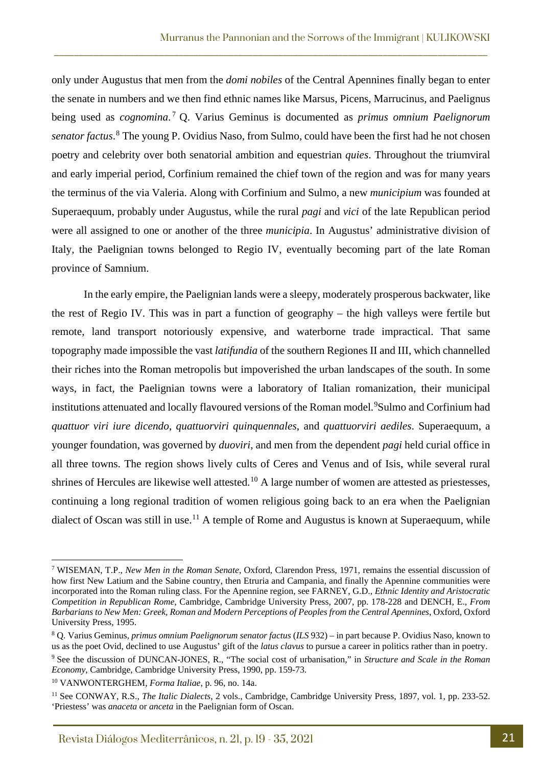only under Augustus that men from the *domi nobiles* of the Central Apennines finally began to enter the senate in numbers and we then find ethnic names like Marsus, Picens, Marrucinus, and Paelignus being used as *cognomina*. [7](#page-2-0) Q. Varius Geminus is documented as *primus omnium Paelignorum senator factus*. [8](#page-2-1) The young P. Ovidius Naso, from Sulmo, could have been the first had he not chosen poetry and celebrity over both senatorial ambition and equestrian *quies*. Throughout the triumviral and early imperial period, Corfinium remained the chief town of the region and was for many years the terminus of the via Valeria. Along with Corfinium and Sulmo, a new *municipium* was founded at Superaequum, probably under Augustus, while the rural *pagi* and *vici* of the late Republican period were all assigned to one or another of the three *municipia*. In Augustus' administrative division of Italy, the Paelignian towns belonged to Regio IV, eventually becoming part of the late Roman province of Samnium.

\_\_\_\_\_\_\_\_\_\_\_\_\_\_\_\_\_\_\_\_\_\_\_\_\_\_\_\_\_\_\_\_\_\_\_\_\_\_\_\_\_\_\_\_\_\_\_\_\_\_\_\_\_\_\_\_\_\_\_\_\_\_\_\_\_\_\_\_\_\_\_\_\_\_\_\_\_\_\_\_\_\_\_\_\_\_\_

In the early empire, the Paelignian lands were a sleepy, moderately prosperous backwater, like the rest of Regio IV. This was in part a function of geography – the high valleys were fertile but remote, land transport notoriously expensive, and waterborne trade impractical. That same topography made impossible the vast *latifundia* of the southern Regiones II and III, which channelled their riches into the Roman metropolis but impoverished the urban landscapes of the south. In some ways, in fact, the Paelignian towns were a laboratory of Italian romanization, their municipal institutions attenuated and locally flavoured versions of the Roman model. <sup>[9](#page-2-2)</sup>Sulmo and Corfinium had *quattuor viri iure dicendo*, *quattuorviri quinquennales*, and *quattuorviri aediles*. Superaequum, a younger foundation, was governed by *duoviri*, and men from the dependent *pagi* held curial office in all three towns. The region shows lively cults of Ceres and Venus and of Isis, while several rural shrines of Hercules are likewise well attested.<sup>[10](#page-2-3)</sup> A large number of women are attested as priestesses, continuing a long regional tradition of women religious going back to an era when the Paelignian dialect of Oscan was still in use.<sup>[11](#page-2-4)</sup> A temple of Rome and Augustus is known at Superaequum, while

<span id="page-2-0"></span><sup>7</sup> WISEMAN, T.P., *New Men in the Roman Senate*, Oxford, Clarendon Press, 1971, remains the essential discussion of how first New Latium and the Sabine country, then Etruria and Campania, and finally the Apennine communities were incorporated into the Roman ruling class. For the Apennine region, see FARNEY, G.D., *Ethnic Identity and Aristocratic Competition in Republican Rome*, Cambridge, Cambridge University Press, 2007, pp. 178-228 and DENCH, E., *From Barbarians to New Men: Greek, Roman and Modern Perceptions of Peoples from the Central Apennines*, Oxford, Oxford University Press, 1995.

<span id="page-2-1"></span><sup>8</sup> Q. Varius Geminus, *primus omnium Paelignorum senator factus* (*ILS* 932) – in part because P. Ovidius Naso, known to us as the poet Ovid, declined to use Augustus' gift of the *latus clavus* to pursue a career in politics rather than in poetry.

<span id="page-2-2"></span><sup>9</sup> See the discussion of DUNCAN-JONES, R., "The social cost of urbanisation," in *Structure and Scale in the Roman Economy*, Cambridge, Cambridge University Press, 1990, pp. 159-73.

<span id="page-2-3"></span><sup>10</sup> VANWONTERGHEM, *Forma Italiae*, p. 96, no. 14a.

<span id="page-2-4"></span><sup>11</sup> See CONWAY, R.S., *The Italic Dialects*, 2 vols., Cambridge, Cambridge University Press, 1897, vol. 1, pp. 233-52. 'Priestess' was *anaceta* or *anceta* in the Paelignian form of Oscan.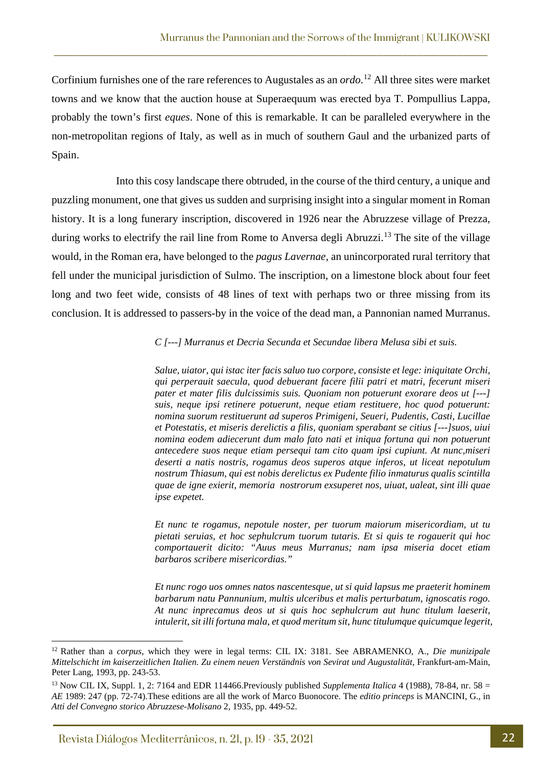Corfinium furnishes one of the rare references to Augustales as an *ordo*. [12](#page-3-0) All three sites were market towns and we know that the auction house at Superaequum was erected bya T. Pompullius Lappa, probably the town's first *eques*. None of this is remarkable. It can be paralleled everywhere in the non-metropolitan regions of Italy, as well as in much of southern Gaul and the urbanized parts of Spain.

\_\_\_\_\_\_\_\_\_\_\_\_\_\_\_\_\_\_\_\_\_\_\_\_\_\_\_\_\_\_\_\_\_\_\_\_\_\_\_\_\_\_\_\_\_\_\_\_\_\_\_\_\_\_\_\_\_\_\_\_\_\_\_\_\_\_\_\_\_\_\_\_\_\_\_\_\_\_\_\_\_\_\_\_\_\_\_

Into this cosy landscape there obtruded, in the course of the third century, a unique and puzzling monument, one that gives us sudden and surprising insight into a singular moment in Roman history. It is a long funerary inscription, discovered in 1926 near the Abruzzese village of Prezza, during works to electrify the rail line from Rome to Anversa degli Abruzzi.<sup>[13](#page-3-1)</sup> The site of the village would, in the Roman era, have belonged to the *pagus Lavernae*, an unincorporated rural territory that fell under the municipal jurisdiction of Sulmo. The inscription, on a limestone block about four feet long and two feet wide, consists of 48 lines of text with perhaps two or three missing from its conclusion. It is addressed to passers-by in the voice of the dead man, a Pannonian named Murranus.

*C [---] Murranus et Decria Secunda et Secundae libera Melusa sibi et suis.*

*Salue, uiator, qui istac iter facis saluo tuo corpore, consiste et lege: iniquitate Orchi, qui perperauit saecula, quod debuerant facere filii patri et matri, fecerunt miseri pater et mater filis dulcissimis suis. Quoniam non potuerunt exorare deos ut [---] suis, neque ipsi retinere potuerunt, neque etiam restituere, hoc quod potuerunt: nomina suorum restituerunt ad superos Primigeni, Seueri, Pudentis, Casti, Lucillae et Potestatis, et miseris derelictis a filis, quoniam sperabant se citius [---]suos, uiui nomina eodem adiecerunt dum malo fato nati et iniqua fortuna qui non potuerunt antecedere suos neque etiam persequi tam cito quam ipsi cupiunt. At nunc,miseri deserti a natis nostris, rogamus deos superos atque inferos, ut liceat nepotulum nostrum Thiasum, qui est nobis derelictus ex Pudente filio inmaturus qualis scintilla quae de igne exierit, memoria nostrorum exsuperet nos, uiuat, ualeat, sint illi quae ipse expetet.*

*Et nunc te rogamus, nepotule noster, per tuorum maiorum misericordiam, ut tu pietati seruias, et hoc sephulcrum tuorum tutaris. Et si quis te rogauerit qui hoc comportauerit dicito: "Auus meus Murranus; nam ipsa miseria docet etiam barbaros scribere misericordias."*

*Et nunc rogo uos omnes natos nascentesque, ut si quid lapsus me praeterit hominem barbarum natu Pannunium, multis ulceribus et malis perturbatum, ignoscatis rogo. At nunc inprecamus deos ut si quis hoc sephulcrum aut hunc titulum laeserit, intulerit, sit illi fortuna mala, et quod meritum sit, hunc titulumque quicumque legerit,* 

<span id="page-3-0"></span><sup>12</sup> Rather than a *corpus*, which they were in legal terms: CIL IX: 3181. See ABRAMENKO, A., *Die munizipale Mittelschicht im kaiserzeitlichen Italien. Zu einem neuen Verständnis von Sevirat und Augustalität*, Frankfurt-am-Main, Peter Lang, 1993, pp. 243-53.

<span id="page-3-1"></span><sup>&</sup>lt;sup>13</sup> Now CIL IX, Suppl. 1, 2: 7164 and EDR 114466. Previously published *Supplementa Italica* 4 (1988), 78-84, nr. 58 = *AE* 1989: 247 (pp. 72-74).These editions are all the work of Marco Buonocore. The *editio princeps* is MANCINI, G., in *Atti del Convegno storico Abruzzese-Molisano* 2, 1935, pp. 449-52.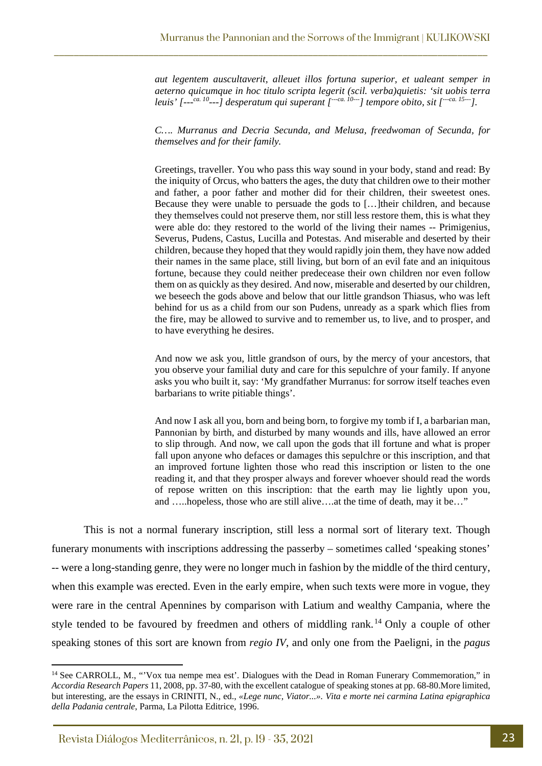\_\_\_\_\_\_\_\_\_\_\_\_\_\_\_\_\_\_\_\_\_\_\_\_\_\_\_\_\_\_\_\_\_\_\_\_\_\_\_\_\_\_\_\_\_\_\_\_\_\_\_\_\_\_\_\_\_\_\_\_\_\_\_\_\_\_\_\_\_\_\_\_\_\_\_\_\_\_\_\_\_\_\_\_\_\_\_

*aut legentem auscultaverit, alleuet illos fortuna superior, et ualeant semper in aeterno quicumque in hoc titulo scripta legerit (scil. verba)quietis: 'sit uobis terra leuis' [---ca. 10---] desperatum qui superant [---ca. 10---] tempore obito, sit [---ca. 15---].*

*C…. Murranus and Decria Secunda, and Melusa, freedwoman of Secunda, for themselves and for their family.*

Greetings, traveller. You who pass this way sound in your body, stand and read: By the iniquity of Orcus, who batters the ages, the duty that children owe to their mother and father, a poor father and mother did for their children, their sweetest ones. Because they were unable to persuade the gods to […]their children, and because they themselves could not preserve them, nor still less restore them, this is what they were able do: they restored to the world of the living their names -- Primigenius, Severus, Pudens, Castus, Lucilla and Potestas. And miserable and deserted by their children, because they hoped that they would rapidly join them, they have now added their names in the same place, still living, but born of an evil fate and an iniquitous fortune, because they could neither predecease their own children nor even follow them on as quickly as they desired. And now, miserable and deserted by our children, we beseech the gods above and below that our little grandson Thiasus, who was left behind for us as a child from our son Pudens, unready as a spark which flies from the fire, may be allowed to survive and to remember us, to live, and to prosper, and to have everything he desires.

And now we ask you, little grandson of ours, by the mercy of your ancestors, that you observe your familial duty and care for this sepulchre of your family. If anyone asks you who built it, say: 'My grandfather Murranus: for sorrow itself teaches even barbarians to write pitiable things'.

And now I ask all you, born and being born, to forgive my tomb if I, a barbarian man, Pannonian by birth, and disturbed by many wounds and ills, have allowed an error to slip through. And now, we call upon the gods that ill fortune and what is proper fall upon anyone who defaces or damages this sepulchre or this inscription, and that an improved fortune lighten those who read this inscription or listen to the one reading it, and that they prosper always and forever whoever should read the words of repose written on this inscription: that the earth may lie lightly upon you, and …..hopeless, those who are still alive….at the time of death, may it be…"

This is not a normal funerary inscription, still less a normal sort of literary text. Though funerary monuments with inscriptions addressing the passerby – sometimes called 'speaking stones' -- were a long-standing genre, they were no longer much in fashion by the middle of the third century, when this example was erected. Even in the early empire, when such texts were more in vogue, they were rare in the central Apennines by comparison with Latium and wealthy Campania, where the style tended to be favoured by freedmen and others of middling rank.<sup>[14](#page-4-0)</sup> Only a couple of other speaking stones of this sort are known from *regio IV*, and only one from the Paeligni, in the *pagus*

<span id="page-4-0"></span><sup>&</sup>lt;sup>14</sup> See CARROLL, M., "'Vox tua nempe mea est'. Dialogues with the Dead in Roman Funerary Commemoration," in *Accordia Research Papers* 11, 2008, pp. 37-80, with the excellent catalogue of speaking stones at pp. 68-80.More limited, but interesting, are the essays in CRINITI, N., ed., *«Lege nunc, Viator...». Vita e morte nei carmina Latina epigraphica della Padania centrale*, Parma, La Pilotta Editrice, 1996.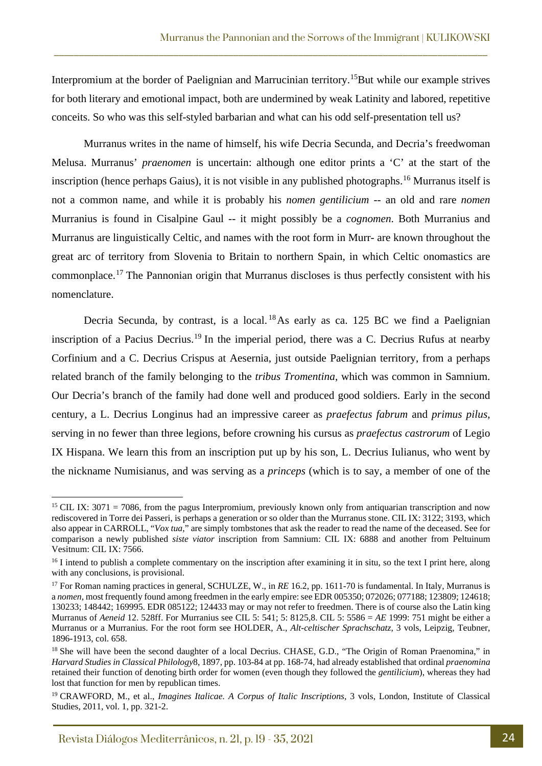Interpromium at the border of Paelignian and Marrucinian territory.<sup>[15](#page-5-0)</sup>But while our example strives for both literary and emotional impact, both are undermined by weak Latinity and labored, repetitive conceits. So who was this self-styled barbarian and what can his odd self-presentation tell us?

\_\_\_\_\_\_\_\_\_\_\_\_\_\_\_\_\_\_\_\_\_\_\_\_\_\_\_\_\_\_\_\_\_\_\_\_\_\_\_\_\_\_\_\_\_\_\_\_\_\_\_\_\_\_\_\_\_\_\_\_\_\_\_\_\_\_\_\_\_\_\_\_\_\_\_\_\_\_\_\_\_\_\_\_\_\_\_

Murranus writes in the name of himself, his wife Decria Secunda, and Decria's freedwoman Melusa. Murranus' *praenomen* is uncertain: although one editor prints a 'C' at the start of the inscription (hence perhaps Gaius), it is not visible in any published photographs.[16](#page-5-1) Murranus itself is not a common name, and while it is probably his *nomen gentilicium* -- an old and rare *nomen* Murranius is found in Cisalpine Gaul -- it might possibly be a *cognomen*. Both Murranius and Murranus are linguistically Celtic, and names with the root form in Murr- are known throughout the great arc of territory from Slovenia to Britain to northern Spain, in which Celtic onomastics are commonplace.[17](#page-5-2) The Pannonian origin that Murranus discloses is thus perfectly consistent with his nomenclature.

Decria Secunda, by contrast, is a local. <sup>[18](#page-5-3)</sup>As early as ca. 125 BC we find a Paelignian inscription of a Pacius Decrius.<sup>[19](#page-5-4)</sup> In the imperial period, there was a C. Decrius Rufus at nearby Corfinium and a C. Decrius Crispus at Aesernia, just outside Paelignian territory, from a perhaps related branch of the family belonging to the *tribus Tromentina*, which was common in Samnium. Our Decria's branch of the family had done well and produced good soldiers. Early in the second century, a L. Decrius Longinus had an impressive career as *praefectus fabrum* and *primus pilus*, serving in no fewer than three legions, before crowning his cursus as *praefectus castrorum* of Legio IX Hispana. We learn this from an inscription put up by his son, L. Decrius Iulianus, who went by the nickname Numisianus, and was serving as a *princeps* (which is to say, a member of one of the

<span id="page-5-0"></span><sup>&</sup>lt;sup>15</sup> CIL IX: 3071 = 7086, from the pagus Interpromium, previously known only from antiquarian transcription and now rediscovered in Torre dei Passeri, is perhaps a generation or so older than the Murranus stone. CIL IX: 3122; 3193, which also appear in CARROLL, "*Vox tua*," are simply tombstones that ask the reader to read the name of the deceased. See for comparison a newly published *siste viator* inscription from Samnium: CIL IX: 6888 and another from Peltuinum Vesitnum: CIL IX: 7566.

<span id="page-5-1"></span><sup>&</sup>lt;sup>16</sup> I intend to publish a complete commentary on the inscription after examining it in situ, so the text I print here, along with any conclusions, is provisional.

<span id="page-5-2"></span><sup>&</sup>lt;sup>17</sup> For Roman naming practices in general, SCHULZE, W., in *RE* 16.2, pp. 1611-70 is fundamental. In Italy, Murranus is a *nomen*, most frequently found among freedmen in the early empire: see EDR 005350; 072026; 077188; 123809; 124618; 130233; 148442; 169995. EDR 085122; 124433 may or may not refer to freedmen. There is of course also the Latin king Murranus of *Aeneid* 12. 528ff. For Murranius see CIL 5: 541; 5: 8125,8. CIL 5: 5586 = *AE* 1999: 751 might be either a Murranus or a Murranius. For the root form see HOLDER, A., *Alt-celtischer Sprachschatz*, 3 vols, Leipzig, Teubner, 1896-1913, col. 658.

<span id="page-5-3"></span><sup>&</sup>lt;sup>18</sup> She will have been the second daughter of a local Decrius. CHASE, G.D., "The Origin of Roman Praenomina," in *Harvard Studies in Classical Philology*8, 1897, pp. 103-84 at pp. 168-74, had already established that ordinal *praenomina* retained their function of denoting birth order for women (even though they followed the *gentilicium*), whereas they had lost that function for men by republican times.

<span id="page-5-4"></span><sup>19</sup> CRAWFORD, M., et al., *Imagines Italicae. A Corpus of Italic Inscriptions*, 3 vols, London, Institute of Classical Studies, 2011, vol. 1, pp. 321-2.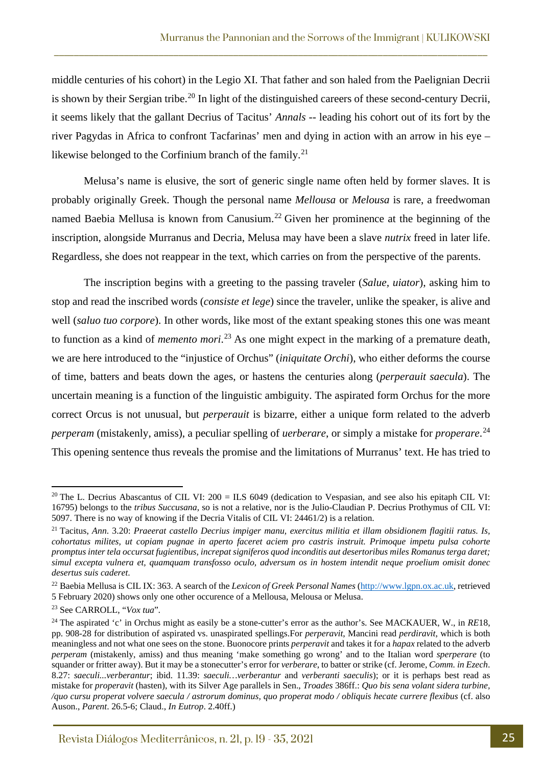middle centuries of his cohort) in the Legio XI. That father and son haled from the Paelignian Decrii is shown by their Sergian tribe.<sup>[20](#page-6-0)</sup> In light of the distinguished careers of these second-century Decrii, it seems likely that the gallant Decrius of Tacitus' *Annals* -- leading his cohort out of its fort by the river Pagydas in Africa to confront Tacfarinas' men and dying in action with an arrow in his eye – likewise belonged to the Corfinium branch of the family.<sup>[21](#page-6-1)</sup>

\_\_\_\_\_\_\_\_\_\_\_\_\_\_\_\_\_\_\_\_\_\_\_\_\_\_\_\_\_\_\_\_\_\_\_\_\_\_\_\_\_\_\_\_\_\_\_\_\_\_\_\_\_\_\_\_\_\_\_\_\_\_\_\_\_\_\_\_\_\_\_\_\_\_\_\_\_\_\_\_\_\_\_\_\_\_\_

Melusa's name is elusive, the sort of generic single name often held by former slaves. It is probably originally Greek. Though the personal name *Mellousa* or *Melousa* is rare, a freedwoman named Baebia Mellusa is known from Canusium.<sup>[22](#page-6-2)</sup> Given her prominence at the beginning of the inscription, alongside Murranus and Decria, Melusa may have been a slave *nutrix* freed in later life. Regardless, she does not reappear in the text, which carries on from the perspective of the parents.

The inscription begins with a greeting to the passing traveler (*Salue, uiator*), asking him to stop and read the inscribed words (*consiste et lege*) since the traveler, unlike the speaker, is alive and well (*saluo tuo corpore*). In other words, like most of the extant speaking stones this one was meant to function as a kind of *memento mori*. [23](#page-6-3) As one might expect in the marking of a premature death, we are here introduced to the "injustice of Orchus" (*iniquitate Orchi*), who either deforms the course of time, batters and beats down the ages, or hastens the centuries along (*perperauit saecula*). The uncertain meaning is a function of the linguistic ambiguity. The aspirated form Orchus for the more correct Orcus is not unusual, but *perperauit* is bizarre, either a unique form related to the adverb *perperam* (mistakenly, amiss), a peculiar spelling of *uerberare*, or simply a mistake for *properare*. [24](#page-6-4) This opening sentence thus reveals the promise and the limitations of Murranus' text. He has tried to

<span id="page-6-0"></span><sup>&</sup>lt;sup>20</sup> The L. Decrius Abascantus of CIL VI:  $200 = ILS$  6049 (dedication to Vespasian, and see also his epitaph CIL VI: 16795) belongs to the *tribus Succusana*, so is not a relative, nor is the Julio-Claudian P. Decrius Prothymus of CIL VI: 5097. There is no way of knowing if the Decria Vitalis of CIL VI: 24461/2) is a relation.

<span id="page-6-1"></span><sup>21</sup> Tacitus, *Ann*. 3.20: *Praeerat castello Decrius impiger manu, exercitus militia et illam obsidionem flagitii ratus. Is, cohortatus milites, ut copiam pugnae in aperto faceret aciem pro castris instruit. Primoque impetu pulsa cohorte promptus inter tela occursat fugientibus, increpat signiferos quod inconditis aut desertoribus miles Romanus terga daret; simul excepta vulnera et, quamquam transfosso oculo, adversum os in hostem intendit neque proelium omisit donec desertus suis caderet*.

<span id="page-6-2"></span><sup>22</sup> Baebia Mellusa is CIL IX: 363. A search of the *Lexicon of Greek Personal Names* [\(http://www.lgpn.ox.ac.uk,](http://www.lgpn.ox.ac.uk/) retrieved 5 February 2020) shows only one other occurence of a Mellousa, Melousa or Melusa.

<span id="page-6-3"></span><sup>23</sup> See CARROLL, "*Vox tua*"*.*

<span id="page-6-4"></span><sup>&</sup>lt;sup>24</sup> The aspirated 'c' in Orchus might as easily be a stone-cutter's error as the author's. See MACKAUER, W., in *RE*18, pp. 908-28 for distribution of aspirated vs. unaspirated spellings.For *perperavit*, Mancini read *perdiravit*, which is both meaningless and not what one sees on the stone. Buonocore prints *perperavit* and takes it for a *hapax* related to the adverb *perperam* (mistakenly, amiss) and thus meaning 'make something go wrong' and to the Italian word *sperperare* (to squander or fritter away). But it may be a stonecutter's error for *verberare*, to batter or strike (cf. Jerome, *Comm. in Ezech*. 8.27: *saeculi...verberantur*; ibid. 11.39: *saeculi…verberantur* and *verberanti saeculis*); or it is perhaps best read as mistake for *properavit* (hasten), with its Silver Age parallels in Sen., *Troades* 386ff.: *Quo bis sena volant sidera turbine, /quo cursu properat volvere saecula / astrorum dominus, quo properat modo / obliquis hecate currere flexibus* (cf. also Auson., *Parent*. 26.5-6; Claud., *In Eutrop*. 2.40ff.)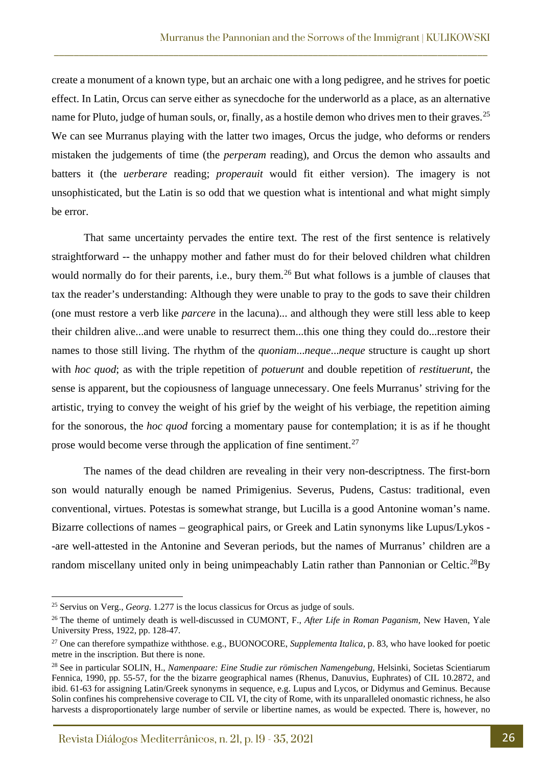create a monument of a known type, but an archaic one with a long pedigree, and he strives for poetic effect. In Latin, Orcus can serve either as synecdoche for the underworld as a place, as an alternative name for Pluto, judge of human souls, or, finally, as a hostile demon who drives men to their graves.<sup>[25](#page-7-0)</sup> We can see Murranus playing with the latter two images, Orcus the judge, who deforms or renders mistaken the judgements of time (the *perperam* reading), and Orcus the demon who assaults and batters it (the *uerberare* reading; *properauit* would fit either version). The imagery is not unsophisticated, but the Latin is so odd that we question what is intentional and what might simply be error.

\_\_\_\_\_\_\_\_\_\_\_\_\_\_\_\_\_\_\_\_\_\_\_\_\_\_\_\_\_\_\_\_\_\_\_\_\_\_\_\_\_\_\_\_\_\_\_\_\_\_\_\_\_\_\_\_\_\_\_\_\_\_\_\_\_\_\_\_\_\_\_\_\_\_\_\_\_\_\_\_\_\_\_\_\_\_\_

That same uncertainty pervades the entire text. The rest of the first sentence is relatively straightforward -- the unhappy mother and father must do for their beloved children what children would normally do for their parents, i.e., bury them.<sup>[26](#page-7-1)</sup> But what follows is a jumble of clauses that tax the reader's understanding: Although they were unable to pray to the gods to save their children (one must restore a verb like *parcere* in the lacuna)... and although they were still less able to keep their children alive...and were unable to resurrect them...this one thing they could do...restore their names to those still living. The rhythm of the *quoniam*...*neque*...*neque* structure is caught up short with *hoc quod*; as with the triple repetition of *potuerunt* and double repetition of *restituerunt*, the sense is apparent, but the copiousness of language unnecessary. One feels Murranus' striving for the artistic, trying to convey the weight of his grief by the weight of his verbiage, the repetition aiming for the sonorous, the *hoc quod* forcing a momentary pause for contemplation; it is as if he thought prose would become verse through the application of fine sentiment.<sup>[27](#page-7-2)</sup>

The names of the dead children are revealing in their very non-descriptness. The first-born son would naturally enough be named Primigenius. Severus, Pudens, Castus: traditional, even conventional, virtues. Potestas is somewhat strange, but Lucilla is a good Antonine woman's name. Bizarre collections of names – geographical pairs, or Greek and Latin synonyms like Lupus/Lykos - -are well-attested in the Antonine and Severan periods, but the names of Murranus' children are a random miscellany united only in being unimpeachably Latin rather than Pannonian or Celtic.<sup>28</sup>By

<span id="page-7-0"></span><sup>25</sup> Servius on Verg., *Georg*. 1.277 is the locus classicus for Orcus as judge of souls.

<span id="page-7-1"></span><sup>26</sup> The theme of untimely death is well-discussed in CUMONT, F., *After Life in Roman Paganism*, New Haven, Yale University Press, 1922, pp. 128-47.

<span id="page-7-2"></span><sup>27</sup> One can therefore sympathize withthose. e.g., BUONOCORE, *Supplementa Italica*, p. 83, who have looked for poetic metre in the inscription. But there is none.

<span id="page-7-3"></span><sup>28</sup> See in particular SOLIN, H., *Namenpaare: Eine Studie zur römischen Namengebung*, Helsinki, Societas Scientiarum Fennica, 1990, pp. 55-57, for the the bizarre geographical names (Rhenus, Danuvius, Euphrates) of CIL 10.2872, and ibid. 61-63 for assigning Latin/Greek synonyms in sequence, e.g. Lupus and Lycos, or Didymus and Geminus. Because Solin confines his comprehensive coverage to CIL VI, the city of Rome, with its unparalleled onomastic richness, he also harvests a disproportionately large number of servile or libertine names, as would be expected. There is, however, no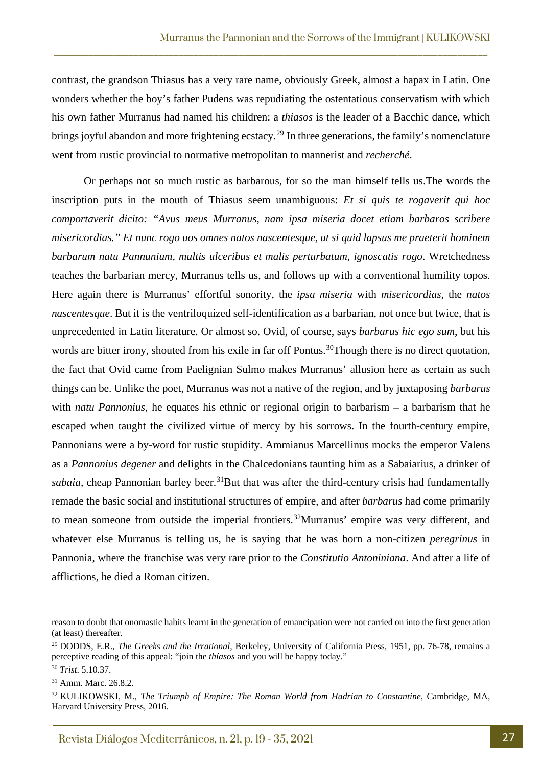contrast, the grandson Thiasus has a very rare name, obviously Greek, almost a hapax in Latin. One wonders whether the boy's father Pudens was repudiating the ostentatious conservatism with which his own father Murranus had named his children: a *thiasos* is the leader of a Bacchic dance, which brings joyful abandon and more frightening ecstacy.<sup>[29](#page-8-0)</sup> In three generations, the family's nomenclature went from rustic provincial to normative metropolitan to mannerist and *recherché*.

\_\_\_\_\_\_\_\_\_\_\_\_\_\_\_\_\_\_\_\_\_\_\_\_\_\_\_\_\_\_\_\_\_\_\_\_\_\_\_\_\_\_\_\_\_\_\_\_\_\_\_\_\_\_\_\_\_\_\_\_\_\_\_\_\_\_\_\_\_\_\_\_\_\_\_\_\_\_\_\_\_\_\_\_\_\_\_

Or perhaps not so much rustic as barbarous, for so the man himself tells us.The words the inscription puts in the mouth of Thiasus seem unambiguous: *Et si quis te rogaverit qui hoc comportaverit dicito: "Avus meus Murranus, nam ipsa miseria docet etiam barbaros scribere misericordias." Et nunc rogo uos omnes natos nascentesque, ut si quid lapsus me praeterit hominem barbarum natu Pannunium, multis ulceribus et malis perturbatum, ignoscatis rogo*. Wretchedness teaches the barbarian mercy, Murranus tells us, and follows up with a conventional humility topos. Here again there is Murranus' effortful sonority, the *ipsa miseria* with *misericordias*, the *natos nascentesque*. But it is the ventriloquized self-identification as a barbarian, not once but twice, that is unprecedented in Latin literature. Or almost so. Ovid, of course, says *barbarus hic ego sum*, but his words are bitter irony, shouted from his exile in far off Pontus.<sup>[30](#page-8-1)</sup>Though there is no direct quotation, the fact that Ovid came from Paelignian Sulmo makes Murranus' allusion here as certain as such things can be. Unlike the poet, Murranus was not a native of the region, and by juxtaposing *barbarus* with *natu Pannonius*, he equates his ethnic or regional origin to barbarism – a barbarism that he escaped when taught the civilized virtue of mercy by his sorrows. In the fourth-century empire, Pannonians were a by-word for rustic stupidity. Ammianus Marcellinus mocks the emperor Valens as a *Pannonius degener* and delights in the Chalcedonians taunting him as a Sabaiarius, a drinker of *sabaia*, cheap Pannonian barley beer.<sup>[31](#page-8-2)</sup>But that was after the third-century crisis had fundamentally remade the basic social and institutional structures of empire, and after *barbarus* had come primarily to mean someone from outside the imperial frontiers.<sup>32</sup>Murranus' empire was very different, and whatever else Murranus is telling us, he is saying that he was born a non-citizen *peregrinus* in Pannonia, where the franchise was very rare prior to the *Constitutio Antoniniana*. And after a life of afflictions, he died a Roman citizen.

reason to doubt that onomastic habits learnt in the generation of emancipation were not carried on into the first generation (at least) thereafter.

<span id="page-8-0"></span><sup>29</sup> DODDS, E.R., *The Greeks and the Irrational*, Berkeley, University of California Press, 1951, pp. 76-78, remains a perceptive reading of this appeal: "join the *thíasos* and you will be happy today."

<span id="page-8-1"></span><sup>30</sup> *Trist*. 5.10.37.

<span id="page-8-2"></span><sup>31</sup> Amm. Marc. 26.8.2.

<span id="page-8-3"></span><sup>32</sup> KULIKOWSKI, M., *The Triumph of Empire: The Roman World from Hadrian to Constantine*, Cambridge, MA, Harvard University Press, 2016.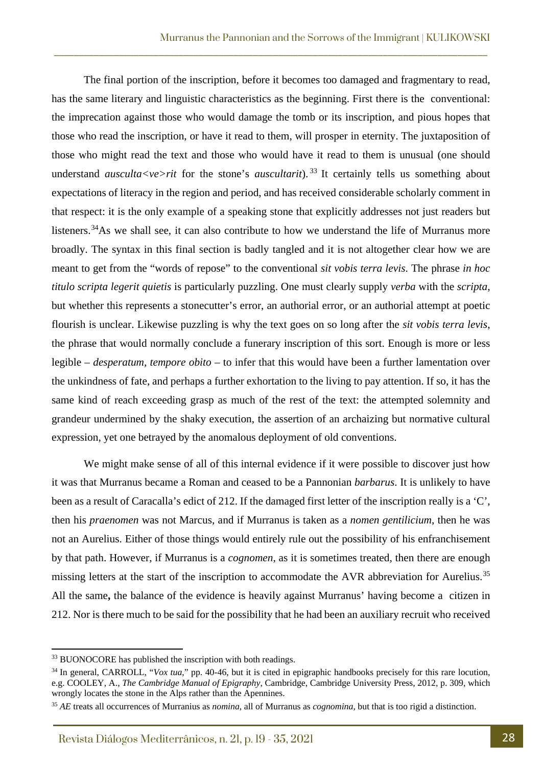The final portion of the inscription, before it becomes too damaged and fragmentary to read, has the same literary and linguistic characteristics as the beginning. First there is the conventional: the imprecation against those who would damage the tomb or its inscription, and pious hopes that those who read the inscription, or have it read to them, will prosper in eternity. The juxtaposition of those who might read the text and those who would have it read to them is unusual (one should understand *ausculta<ve>rit* for the stone's *auscultarit*).<sup>[33](#page-9-0)</sup> It certainly tells us something about expectations of literacy in the region and period, and has received considerable scholarly comment in that respect: it is the only example of a speaking stone that explicitly addresses not just readers but listeners.<sup>[34](#page-9-1)</sup>As we shall see, it can also contribute to how we understand the life of Murranus more broadly. The syntax in this final section is badly tangled and it is not altogether clear how we are meant to get from the "words of repose" to the conventional *sit vobis terra levis*. The phrase *in hoc titulo scripta legerit quietis* is particularly puzzling. One must clearly supply *verba* with the *scripta*, but whether this represents a stonecutter's error, an authorial error, or an authorial attempt at poetic flourish is unclear. Likewise puzzling is why the text goes on so long after the *sit vobis terra levis*, the phrase that would normally conclude a funerary inscription of this sort. Enough is more or less legible – *desperatum, tempore obito* – to infer that this would have been a further lamentation over the unkindness of fate, and perhaps a further exhortation to the living to pay attention. If so, it has the same kind of reach exceeding grasp as much of the rest of the text: the attempted solemnity and grandeur undermined by the shaky execution, the assertion of an archaizing but normative cultural expression, yet one betrayed by the anomalous deployment of old conventions.

\_\_\_\_\_\_\_\_\_\_\_\_\_\_\_\_\_\_\_\_\_\_\_\_\_\_\_\_\_\_\_\_\_\_\_\_\_\_\_\_\_\_\_\_\_\_\_\_\_\_\_\_\_\_\_\_\_\_\_\_\_\_\_\_\_\_\_\_\_\_\_\_\_\_\_\_\_\_\_\_\_\_\_\_\_\_\_

We might make sense of all of this internal evidence if it were possible to discover just how it was that Murranus became a Roman and ceased to be a Pannonian *barbarus*. It is unlikely to have been as a result of Caracalla's edict of 212. If the damaged first letter of the inscription really is a 'C', then his *praenomen* was not Marcus, and if Murranus is taken as a *nomen gentilicium*, then he was not an Aurelius. Either of those things would entirely rule out the possibility of his enfranchisement by that path. However, if Murranus is a *cognomen*, as it is sometimes treated, then there are enough missing letters at the start of the inscription to accommodate the AVR abbreviation for Aurelius.<sup>[35](#page-9-2)</sup> All the same**,** the balance of the evidence is heavily against Murranus' having become a citizen in 212. Nor is there much to be said for the possibility that he had been an auxiliary recruit who received

<span id="page-9-0"></span><sup>&</sup>lt;sup>33</sup> BUONOCORE has published the inscription with both readings.

<span id="page-9-1"></span><sup>&</sup>lt;sup>34</sup> In general, CARROLL, "*Vox tua*," pp. 40-46, but it is cited in epigraphic handbooks precisely for this rare locution, e.g. COOLEY, A., *The Cambridge Manual of Epigraphy*, Cambridge, Cambridge University Press, 2012, p. 309, which wrongly locates the stone in the Alps rather than the Apennines.

<span id="page-9-2"></span><sup>35</sup> *AE* treats all occurrences of Murranius as *nomina*, all of Murranus as *cognomina*, but that is too rigid a distinction.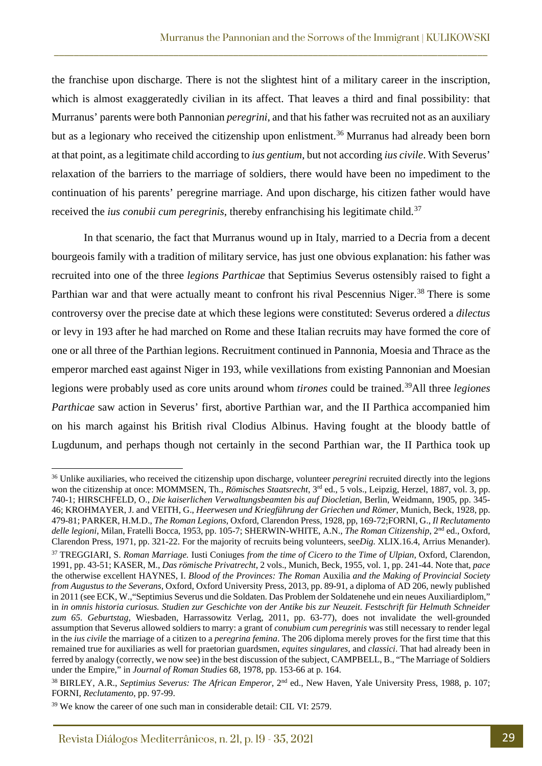the franchise upon discharge. There is not the slightest hint of a military career in the inscription, which is almost exaggeratedly civilian in its affect. That leaves a third and final possibility: that Murranus' parents were both Pannonian *peregrini*, and that his father was recruited not as an auxiliary but as a legionary who received the citizenship upon enlistment.<sup>[36](#page-10-0)</sup> Murranus had already been born at that point, as a legitimate child according to *ius gentium*, but not according *ius civile*. With Severus' relaxation of the barriers to the marriage of soldiers, there would have been no impediment to the continuation of his parents' peregrine marriage. And upon discharge, his citizen father would have received the *ius conubii cum peregrinis*, thereby enfranchising his legitimate child.<sup>[37](#page-10-1)</sup>

\_\_\_\_\_\_\_\_\_\_\_\_\_\_\_\_\_\_\_\_\_\_\_\_\_\_\_\_\_\_\_\_\_\_\_\_\_\_\_\_\_\_\_\_\_\_\_\_\_\_\_\_\_\_\_\_\_\_\_\_\_\_\_\_\_\_\_\_\_\_\_\_\_\_\_\_\_\_\_\_\_\_\_\_\_\_\_

In that scenario, the fact that Murranus wound up in Italy, married to a Decria from a decent bourgeois family with a tradition of military service, has just one obvious explanation: his father was recruited into one of the three *legions Parthicae* that Septimius Severus ostensibly raised to fight a Parthian war and that were actually meant to confront his rival Pescennius Niger.<sup>[38](#page-10-2)</sup> There is some controversy over the precise date at which these legions were constituted: Severus ordered a *dilectus* or levy in 193 after he had marched on Rome and these Italian recruits may have formed the core of one or all three of the Parthian legions. Recruitment continued in Pannonia, Moesia and Thrace as the emperor marched east against Niger in 193, while vexillations from existing Pannonian and Moesian legions were probably used as core units around whom *tirones* could be trained.[39A](#page-10-3)ll three *legiones Parthicae* saw action in Severus' first, abortive Parthian war, and the II Parthica accompanied him on his march against his British rival Clodius Albinus. Having fought at the bloody battle of Lugdunum, and perhaps though not certainly in the second Parthian war, the II Parthica took up

<span id="page-10-0"></span><sup>&</sup>lt;sup>36</sup> Unlike auxiliaries, who received the citizenship upon discharge, volunteer *peregrini* recruited directly into the legions won the citizenship at once: MOMMSEN, Th., *Römisches Staatsrecht*, 3<sup>rd</sup> ed., 5 vols., Leipzig, Herzel, 1887, vol. 3, pp. 740-1; HIRSCHFELD, O., *Die kaiserlichen Verwaltungsbeamten bis auf Diocletian*, Berlin, Weidmann, 1905, pp. 345- 46; KROHMAYER, J. and VEITH, G., *Heerwesen und Kriegführung der Griechen und Römer*, Munich, Beck, 1928, pp. 479-81; PARKER, H.M.D., *The Roman Legions*, Oxford, Clarendon Press, 1928, pp, 169-72;FORNI, G., *Il Reclutamento delle legioni*, Milan, Fratelli Bocca, 1953, pp. 105-7; SHERWIN-WHITE, A.N., *The Roman Citizenship*, 2nd ed., Oxford, Clarendon Press, 1971, pp. 321-22. For the majority of recruits being volunteers, see*Dig.* XLIX.16.4, Arrius Menander).

<span id="page-10-1"></span><sup>37</sup> TREGGIARI, S. *Roman Marriage.* Iusti Coniuges *from the time of Cicero to the Time of Ulpian*, Oxford, Clarendon, 1991, pp. 43-51; KASER, M., *Das römische Privatrecht*, 2 vols., Munich, Beck, 1955, vol. 1, pp. 241-44. Note that, *pace* the otherwise excellent HAYNES, I. *Blood of the Provinces: The Roman* Auxilia *and the Making of Provincial Society from Augustus to the Severans*, Oxford, Oxford University Press, 2013, pp. 89-91, a diploma of AD 206, newly published in 2011 (see ECK, W.,"Septimius Severus und die Soldaten. Das Problem der Soldatenehe und ein neues Auxiliardiplom," in *in omnis historia curiosus. Studien zur Geschichte von der Antike bis zur Neuzeit. Festschrift für Helmuth Schneider zum 65. Geburtstag*, Wiesbaden, Harrassowitz Verlag, 2011, pp. 63-77), does not invalidate the well-grounded assumption that Severus allowed soldiers to marry: a grant of *conubium cum peregrinis* was still necessary to render legal in the *ius civile* the marriage of a citizen to a *peregrina femina*. The 206 diploma merely proves for the first time that this remained true for auxiliaries as well for praetorian guardsmen, *equites singulares*, and *classici*. That had already been in ferred by analogy (correctly, we now see) in the best discussion of the subject, CAMPBELL, B., "The Marriage of Soldiers under the Empire," in *Journal of Roman Studies* 68, 1978, pp. 153-66 at p. 164.

<span id="page-10-2"></span><sup>38</sup> BIRLEY, A.R., *Septimius Severus: The African Emperor*, 2nd ed., New Haven, Yale University Press, 1988, p. 107; FORNI, *Reclutamento*, pp. 97-99.

<span id="page-10-3"></span> $39$  We know the career of one such man in considerable detail: CIL VI: 2579.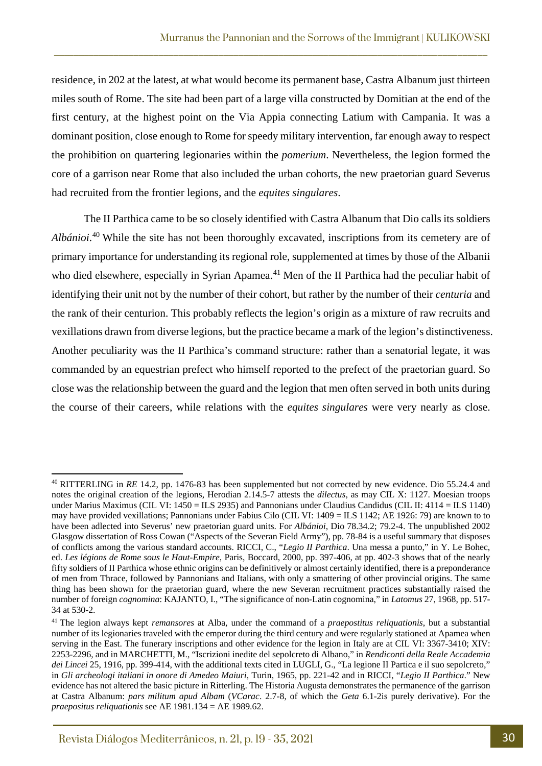residence, in 202 at the latest, at what would become its permanent base, Castra Albanum just thirteen miles south of Rome. The site had been part of a large villa constructed by Domitian at the end of the first century, at the highest point on the Via Appia connecting Latium with Campania. It was a dominant position, close enough to Rome for speedy military intervention, far enough away to respect the prohibition on quartering legionaries within the *pomerium*. Nevertheless, the legion formed the core of a garrison near Rome that also included the urban cohorts, the new praetorian guard Severus had recruited from the frontier legions, and the *equites singulares*.

\_\_\_\_\_\_\_\_\_\_\_\_\_\_\_\_\_\_\_\_\_\_\_\_\_\_\_\_\_\_\_\_\_\_\_\_\_\_\_\_\_\_\_\_\_\_\_\_\_\_\_\_\_\_\_\_\_\_\_\_\_\_\_\_\_\_\_\_\_\_\_\_\_\_\_\_\_\_\_\_\_\_\_\_\_\_\_

The II Parthica came to be so closely identified with Castra Albanum that Dio calls its soldiers *Albánioi*. [40](#page-11-0) While the site has not been thoroughly excavated, inscriptions from its cemetery are of primary importance for understanding its regional role, supplemented at times by those of the Albanii who died elsewhere, especially in Syrian Apamea.<sup>[41](#page-11-1)</sup> Men of the II Parthica had the peculiar habit of identifying their unit not by the number of their cohort, but rather by the number of their *centuria* and the rank of their centurion. This probably reflects the legion's origin as a mixture of raw recruits and vexillations drawn from diverse legions, but the practice became a mark of the legion's distinctiveness. Another peculiarity was the II Parthica's command structure: rather than a senatorial legate, it was commanded by an equestrian prefect who himself reported to the prefect of the praetorian guard. So close was the relationship between the guard and the legion that men often served in both units during the course of their careers, while relations with the *equites singulares* were very nearly as close.

<span id="page-11-0"></span><sup>&</sup>lt;sup>40</sup> RITTERLING in *RE* 14.2, pp. 1476-83 has been supplemented but not corrected by new evidence. Dio 55.24.4 and notes the original creation of the legions, Herodian 2.14.5-7 attests the *dilectus*, as may CIL X: 1127. Moesian troops under Marius Maximus (CIL VI: 1450 = ILS 2935) and Pannonians under Claudius Candidus (CIL II: 4114 = ILS 1140) may have provided vexillations; Pannonians under Fabius Cilo (CIL VI: 1409 = ILS 1142; AE 1926: 79) are known to to have been adlected into Severus' new praetorian guard units. For *Albánioi*, Dio 78.34.2; 79.2-4. The unpublished 2002 Glasgow dissertation of Ross Cowan ("Aspects of the Severan Field Army"), pp. 78-84 is a useful summary that disposes of conflicts among the various standard accounts. RICCI, C., "*Legio II Parthica*. Una messa a punto," in Y. Le Bohec, ed. *Les légions de Rome sous le Haut-Empire*, Paris, Boccard, 2000, pp. 397-406, at pp. 402-3 shows that of the nearly fifty soldiers of II Parthica whose ethnic origins can be definitively or almost certainly identified, there is a preponderance of men from Thrace, followed by Pannonians and Italians, with only a smattering of other provincial origins. The same thing has been shown for the praetorian guard, where the new Severan recruitment practices substantially raised the number of foreign *cognomina*: KAJANTO, I., "The significance of non-Latin cognomina," in *Latomus* 27, 1968, pp. 517- 34 at 530-2.

<span id="page-11-1"></span><sup>41</sup> The legion always kept *remansores* at Alba, under the command of a *praepostitus reliquationis*, but a substantial number of its legionaries traveled with the emperor during the third century and were regularly stationed at Apamea when serving in the East. The funerary inscriptions and other evidence for the legion in Italy are at CIL VI: 3367-3410; XIV: 2253-2296, and in MARCHETTI, M., "Iscrizioni inedite del sepolcreto di Albano," in *Rendiconti della Reale Accademia dei Lincei* 25, 1916, pp. 399-414, with the additional texts cited in LUGLI, G., "La legione II Partica e il suo sepolcreto," in *Gli archeologi italiani in onore di Amedeo Maiuri*, Turin, 1965, pp. 221-42 and in RICCI, "*Legio II Parthica*." New evidence has not altered the basic picture in Ritterling. The Historia Augusta demonstrates the permanence of the garrison at Castra Albanum: *pars militum apud Albam* (*VCarac*. 2.7-8, of which the *Geta* 6.1-2is purely derivative). For the *praepositus reliquationis* see AE 1981.134 = AE 1989.62.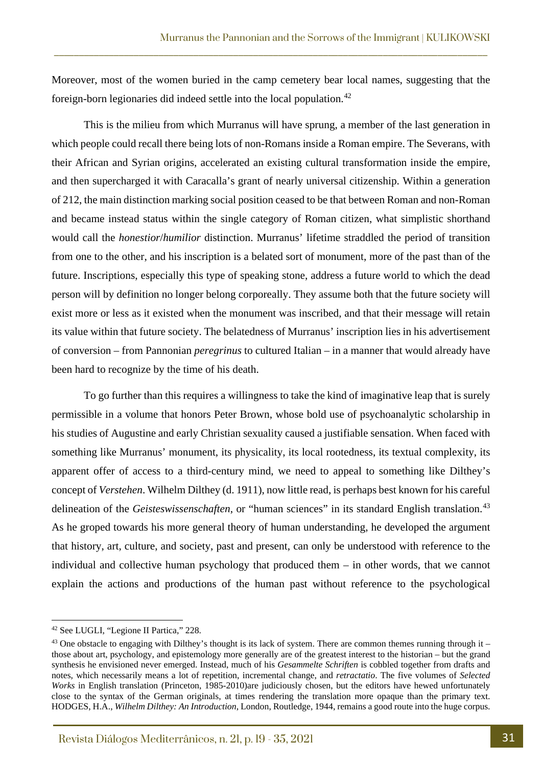Moreover, most of the women buried in the camp cemetery bear local names, suggesting that the foreign-born legionaries did indeed settle into the local population.<sup>[42](#page-12-0)</sup>

\_\_\_\_\_\_\_\_\_\_\_\_\_\_\_\_\_\_\_\_\_\_\_\_\_\_\_\_\_\_\_\_\_\_\_\_\_\_\_\_\_\_\_\_\_\_\_\_\_\_\_\_\_\_\_\_\_\_\_\_\_\_\_\_\_\_\_\_\_\_\_\_\_\_\_\_\_\_\_\_\_\_\_\_\_\_\_

This is the milieu from which Murranus will have sprung, a member of the last generation in which people could recall there being lots of non-Romans inside a Roman empire. The Severans, with their African and Syrian origins, accelerated an existing cultural transformation inside the empire, and then supercharged it with Caracalla's grant of nearly universal citizenship. Within a generation of 212, the main distinction marking social position ceased to be that between Roman and non-Roman and became instead status within the single category of Roman citizen, what simplistic shorthand would call the *honestior*/*humilior* distinction. Murranus' lifetime straddled the period of transition from one to the other, and his inscription is a belated sort of monument, more of the past than of the future. Inscriptions, especially this type of speaking stone, address a future world to which the dead person will by definition no longer belong corporeally. They assume both that the future society will exist more or less as it existed when the monument was inscribed, and that their message will retain its value within that future society. The belatedness of Murranus' inscription lies in his advertisement of conversion – from Pannonian *peregrinus* to cultured Italian – in a manner that would already have been hard to recognize by the time of his death.

To go further than this requires a willingness to take the kind of imaginative leap that is surely permissible in a volume that honors Peter Brown, whose bold use of psychoanalytic scholarship in his studies of Augustine and early Christian sexuality caused a justifiable sensation. When faced with something like Murranus' monument, its physicality, its local rootedness, its textual complexity, its apparent offer of access to a third-century mind, we need to appeal to something like Dilthey's concept of *Verstehen*. Wilhelm Dilthey (d. 1911), now little read, is perhaps best known for his careful delineation of the *Geisteswissenschaften*, or "human sciences" in its standard English translation.<sup>[43](#page-12-1)</sup> As he groped towards his more general theory of human understanding, he developed the argument that history, art, culture, and society, past and present, can only be understood with reference to the individual and collective human psychology that produced them – in other words, that we cannot explain the actions and productions of the human past without reference to the psychological

<span id="page-12-0"></span><sup>42</sup> See LUGLI, "Legione II Partica," 228.

<span id="page-12-1"></span><sup>&</sup>lt;sup>43</sup> One obstacle to engaging with Dilthey's thought is its lack of system. There are common themes running through it – those about art, psychology, and epistemology more generally are of the greatest interest to the historian – but the grand synthesis he envisioned never emerged. Instead, much of his *Gesammelte Schriften* is cobbled together from drafts and notes, which necessarily means a lot of repetition, incremental change, and *retractatio*. The five volumes of *Selected Works* in English translation (Princeton, 1985-2010)are judiciously chosen, but the editors have hewed unfortunately close to the syntax of the German originals, at times rendering the translation more opaque than the primary text. HODGES, H.A., *Wilhelm Dilthey: An Introduction*, London, Routledge, 1944, remains a good route into the huge corpus.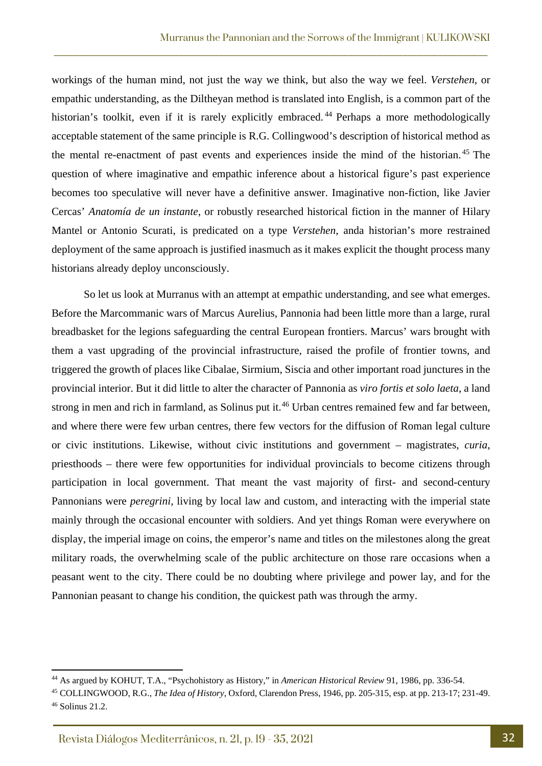workings of the human mind, not just the way we think, but also the way we feel. *Verstehen*, or empathic understanding, as the Diltheyan method is translated into English, is a common part of the historian's toolkit, even if it is rarely explicitly embraced.<sup>[44](#page-13-0)</sup> Perhaps a more methodologically acceptable statement of the same principle is R.G. Collingwood's description of historical method as the mental re-enactment of past events and experiences inside the mind of the historian. [45](#page-13-1) The question of where imaginative and empathic inference about a historical figure's past experience becomes too speculative will never have a definitive answer. Imaginative non-fiction, like Javier Cercas' *Anatomía de un instante*, or robustly researched historical fiction in the manner of Hilary Mantel or Antonio Scurati, is predicated on a type *Verstehen*, anda historian's more restrained deployment of the same approach is justified inasmuch as it makes explicit the thought process many historians already deploy unconsciously.

\_\_\_\_\_\_\_\_\_\_\_\_\_\_\_\_\_\_\_\_\_\_\_\_\_\_\_\_\_\_\_\_\_\_\_\_\_\_\_\_\_\_\_\_\_\_\_\_\_\_\_\_\_\_\_\_\_\_\_\_\_\_\_\_\_\_\_\_\_\_\_\_\_\_\_\_\_\_\_\_\_\_\_\_\_\_\_

So let us look at Murranus with an attempt at empathic understanding, and see what emerges. Before the Marcommanic wars of Marcus Aurelius, Pannonia had been little more than a large, rural breadbasket for the legions safeguarding the central European frontiers. Marcus' wars brought with them a vast upgrading of the provincial infrastructure, raised the profile of frontier towns, and triggered the growth of places like Cibalae, Sirmium, Siscia and other important road junctures in the provincial interior. But it did little to alter the character of Pannonia as *viro fortis et solo laeta*, a land strong in men and rich in farmland, as Solinus put it.<sup>[46](#page-13-2)</sup> Urban centres remained few and far between, and where there were few urban centres, there few vectors for the diffusion of Roman legal culture or civic institutions. Likewise, without civic institutions and government – magistrates, *curia*, priesthoods – there were few opportunities for individual provincials to become citizens through participation in local government. That meant the vast majority of first- and second-century Pannonians were *peregrini*, living by local law and custom, and interacting with the imperial state mainly through the occasional encounter with soldiers. And yet things Roman were everywhere on display, the imperial image on coins, the emperor's name and titles on the milestones along the great military roads, the overwhelming scale of the public architecture on those rare occasions when a peasant went to the city. There could be no doubting where privilege and power lay, and for the Pannonian peasant to change his condition, the quickest path was through the army.

<span id="page-13-0"></span><sup>44</sup> As argued by KOHUT, T.A., "Psychohistory as History," in *American Historical Review* 91, 1986, pp. 336-54.

<span id="page-13-2"></span><span id="page-13-1"></span><sup>45</sup> COLLINGWOOD, R.G., *The Idea of History*, Oxford, Clarendon Press, 1946, pp. 205-315, esp. at pp. 213-17; 231-49. <sup>46</sup> Solinus 21.2.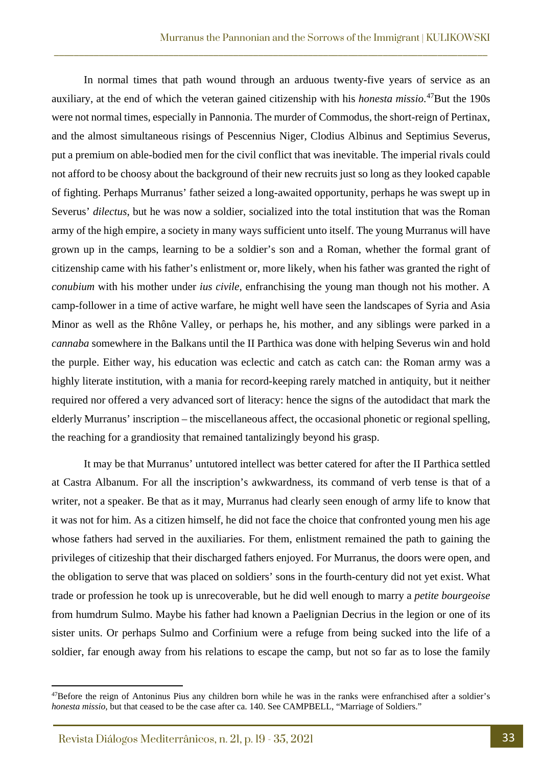In normal times that path wound through an arduous twenty-five years of service as an auxiliary, at the end of which the veteran gained citizenship with his *honesta missio*. [47B](#page-14-0)ut the 190s were not normal times, especially in Pannonia. The murder of Commodus, the short-reign of Pertinax, and the almost simultaneous risings of Pescennius Niger, Clodius Albinus and Septimius Severus, put a premium on able-bodied men for the civil conflict that was inevitable. The imperial rivals could not afford to be choosy about the background of their new recruits just so long as they looked capable of fighting. Perhaps Murranus' father seized a long-awaited opportunity, perhaps he was swept up in Severus' *dilectus*, but he was now a soldier, socialized into the total institution that was the Roman army of the high empire, a society in many ways sufficient unto itself. The young Murranus will have grown up in the camps, learning to be a soldier's son and a Roman, whether the formal grant of citizenship came with his father's enlistment or, more likely, when his father was granted the right of *conubium* with his mother under *ius civile*, enfranchising the young man though not his mother. A camp-follower in a time of active warfare, he might well have seen the landscapes of Syria and Asia Minor as well as the Rhône Valley, or perhaps he, his mother, and any siblings were parked in a *cannaba* somewhere in the Balkans until the II Parthica was done with helping Severus win and hold the purple. Either way, his education was eclectic and catch as catch can: the Roman army was a highly literate institution, with a mania for record-keeping rarely matched in antiquity, but it neither required nor offered a very advanced sort of literacy: hence the signs of the autodidact that mark the elderly Murranus' inscription – the miscellaneous affect, the occasional phonetic or regional spelling, the reaching for a grandiosity that remained tantalizingly beyond his grasp.

\_\_\_\_\_\_\_\_\_\_\_\_\_\_\_\_\_\_\_\_\_\_\_\_\_\_\_\_\_\_\_\_\_\_\_\_\_\_\_\_\_\_\_\_\_\_\_\_\_\_\_\_\_\_\_\_\_\_\_\_\_\_\_\_\_\_\_\_\_\_\_\_\_\_\_\_\_\_\_\_\_\_\_\_\_\_\_

It may be that Murranus' untutored intellect was better catered for after the II Parthica settled at Castra Albanum. For all the inscription's awkwardness, its command of verb tense is that of a writer, not a speaker. Be that as it may, Murranus had clearly seen enough of army life to know that it was not for him. As a citizen himself, he did not face the choice that confronted young men his age whose fathers had served in the auxiliaries. For them, enlistment remained the path to gaining the privileges of citizeship that their discharged fathers enjoyed. For Murranus, the doors were open, and the obligation to serve that was placed on soldiers' sons in the fourth-century did not yet exist. What trade or profession he took up is unrecoverable, but he did well enough to marry a *petite bourgeoise* from humdrum Sulmo. Maybe his father had known a Paelignian Decrius in the legion or one of its sister units. Or perhaps Sulmo and Corfinium were a refuge from being sucked into the life of a soldier, far enough away from his relations to escape the camp, but not so far as to lose the family

<span id="page-14-0"></span><sup>&</sup>lt;sup>47</sup>Before the reign of Antoninus Pius any children born while he was in the ranks were enfranchised after a soldier's *honesta missio*, but that ceased to be the case after ca. 140. See CAMPBELL, "Marriage of Soldiers."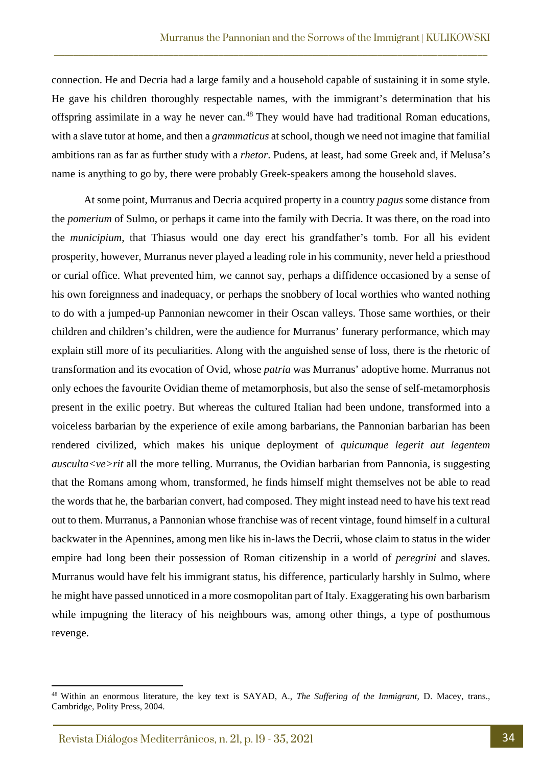connection. He and Decria had a large family and a household capable of sustaining it in some style. He gave his children thoroughly respectable names, with the immigrant's determination that his offspring assimilate in a way he never can.<sup>[48](#page-15-0)</sup> They would have had traditional Roman educations, with a slave tutor at home, and then a *grammaticus* at school, though we need not imagine that familial ambitions ran as far as further study with a *rhetor*. Pudens, at least, had some Greek and, if Melusa's name is anything to go by, there were probably Greek-speakers among the household slaves.

\_\_\_\_\_\_\_\_\_\_\_\_\_\_\_\_\_\_\_\_\_\_\_\_\_\_\_\_\_\_\_\_\_\_\_\_\_\_\_\_\_\_\_\_\_\_\_\_\_\_\_\_\_\_\_\_\_\_\_\_\_\_\_\_\_\_\_\_\_\_\_\_\_\_\_\_\_\_\_\_\_\_\_\_\_\_\_

At some point, Murranus and Decria acquired property in a country *pagus* some distance from the *pomerium* of Sulmo, or perhaps it came into the family with Decria. It was there, on the road into the *municipium*, that Thiasus would one day erect his grandfather's tomb. For all his evident prosperity, however, Murranus never played a leading role in his community, never held a priesthood or curial office. What prevented him, we cannot say, perhaps a diffidence occasioned by a sense of his own foreignness and inadequacy, or perhaps the snobbery of local worthies who wanted nothing to do with a jumped-up Pannonian newcomer in their Oscan valleys. Those same worthies, or their children and children's children, were the audience for Murranus' funerary performance, which may explain still more of its peculiarities. Along with the anguished sense of loss, there is the rhetoric of transformation and its evocation of Ovid, whose *patria* was Murranus' adoptive home. Murranus not only echoes the favourite Ovidian theme of metamorphosis, but also the sense of self-metamorphosis present in the exilic poetry. But whereas the cultured Italian had been undone, transformed into a voiceless barbarian by the experience of exile among barbarians, the Pannonian barbarian has been rendered civilized, which makes his unique deployment of *quicumque legerit aut legentem ausculta<ve>rit* all the more telling. Murranus, the Ovidian barbarian from Pannonia, is suggesting that the Romans among whom, transformed, he finds himself might themselves not be able to read the words that he, the barbarian convert, had composed. They might instead need to have his text read out to them. Murranus, a Pannonian whose franchise was of recent vintage, found himself in a cultural backwater in the Apennines, among men like his in-laws the Decrii, whose claim to status in the wider empire had long been their possession of Roman citizenship in a world of *peregrini* and slaves. Murranus would have felt his immigrant status, his difference, particularly harshly in Sulmo, where he might have passed unnoticed in a more cosmopolitan part of Italy. Exaggerating his own barbarism while impugning the literacy of his neighbours was, among other things, a type of posthumous revenge.

<span id="page-15-0"></span><sup>48</sup> Within an enormous literature, the key text is SAYAD, A., *The Suffering of the Immigrant*, D. Macey, trans., Cambridge, Polity Press, 2004.